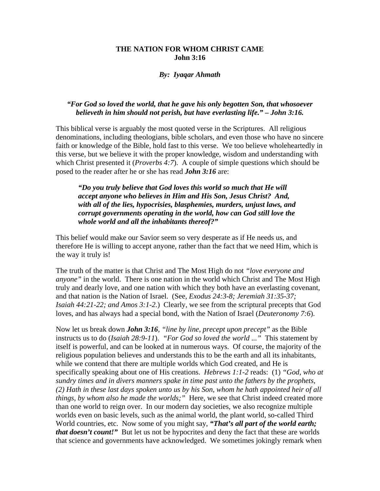## **THE NATION FOR WHOM CHRIST CAME John 3:16**

## *By: Iyaqar Ahmath*

## *"For God so loved the world, that he gave his only begotten Son, that whosoever believeth in him should not perish, but have everlasting life." – John 3:16.*

This biblical verse is arguably the most quoted verse in the Scriptures. All religious denominations, including theologians, bible scholars, and even those who have no sincere faith or knowledge of the Bible, hold fast to this verse. We too believe wholeheartedly in this verse, but we believe it with the proper knowledge, wisdom and understanding with which Christ presented it (*Proverbs 4:7*). A couple of simple questions which should be posed to the reader after he or she has read *John 3:16* are:

*"Do you truly believe that God loves this world so much that He will accept anyone who believes in Him and His Son, Jesus Christ? And, with all of the lies, hypocrisies, blasphemies, murders, unjust laws, and corrupt governments operating in the world, how can God still love the whole world and all the inhabitants thereof?"* 

This belief would make our Savior seem so very desperate as if He needs us, and therefore He is willing to accept anyone, rather than the fact that we need Him, which is the way it truly is!

The truth of the matter is that Christ and The Most High do not *"love everyone and anyone"* in the world. There is one nation in the world which Christ and The Most High truly and dearly love, and one nation with which they both have an everlasting covenant, and that nation is the Nation of Israel. (See, *Exodus 24:3-8; Jeremiah 31:35-37; Isaiah 44:21-22; and Amos 3:1-2.*) Clearly, we see from the scriptural precepts that God loves, and has always had a special bond, with the Nation of Israel (*Deuteronomy 7:6*).

Now let us break down *John 3:16, "line by line, precept upon precept"* as the Bible instructs us to do (*Isaiah 28:9-11*). *"For God so loved the world ..."* This statement by itself is powerful, and can be looked at in numerous ways. Of course, the majority of the religious population believes and understands this to be the earth and all its inhabitants, while we contend that there are multiple worlds which God created, and He is specifically speaking about one of His creations. *Hebrews 1:1-2* reads: (1) *"God, who at sundry times and in divers manners spake in time past unto the fathers by the prophets, (2) Hath in these last days spoken unto us by his Son, whom he hath appointed heir of all things, by whom also he made the worlds;"* Here, we see that Christ indeed created more than one world to reign over. In our modern day societies, we also recognize multiple worlds even on basic levels, such as the animal world, the plant world, so-called Third World countries, etc. Now some of you might say, *"That's all part of the world earth; that doesn't count!*" But let us not be hypocrites and deny the fact that these are worlds that science and governments have acknowledged. We sometimes jokingly remark when